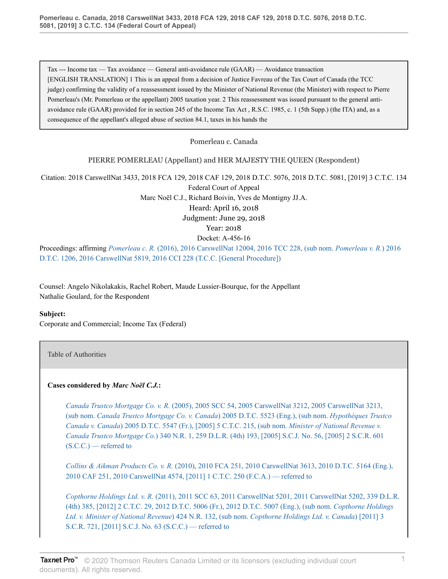Tax --- Income tax — Tax avoidance — General anti-avoidance rule (GAAR) — Avoidance transaction [ENGLISH TRANSLATION] 1 This is an appeal from a decision of Justice Favreau of the Tax Court of Canada (the TCC judge) confirming the validity of a reassessment issued by the Minister of National Revenue (the Minister) with respect to Pierre Pomerleau's (Mr. Pomerleau or the appellant) 2005 taxation year. 2 This reassessment was issued pursuant to the general antiavoidance rule (GAAR) provided for in section 245 of the Income Tax Act , R.S.C. 1985, c. 1 (5th Supp.) (the ITA) and, as a consequence of the appellant's alleged abuse of section 84.1, taxes in his hands the

Pomerleau c. Canada

# PIERRE POMERLEAU (Appellant) and HER MAJESTY THE QUEEN (Respondent)

Citation: 2018 CarswellNat 3433, 2018 FCA 129, 2018 CAF 129, 2018 D.T.C. 5076, 2018 D.T.C. 5081, [2019] 3 C.T.C. 134 Federal Court of Appeal Marc Noël C.J., Richard Boivin, Yves de Montigny JJ.A. Heard: April 16, 2018 Judgment: June 29, 2018 Year: 2018 Docket: A-456-16 Proceedings: affirming *Pomerleau c. R.* [\(2016\), 2016 CarswellNat 12004, 2016 TCC 228, \(sub nom.](http://v3.taxnetpro.com/Document/I41d6f223a6824b70e0540021280d79ee/View/FullText.html?originationContext=document&vr=3.0&rs=cblt1.0&transitionType=DocumentItem&contextData=(sc.Search)) *Pomerleau v. R.*) 2016

Counsel: Angelo Nikolakakis, Rachel Robert, Maude Lussier-Bourque, for the Appellant Nathalie Goulard, for the Respondent

[D.T.C. 1206, 2016 CarswellNat 5819, 2016 CCI 228 \(T.C.C. \[General Procedure\]\)](http://v3.taxnetpro.com/Document/I41d6f223a6824b70e0540021280d79ee/View/FullText.html?originationContext=document&vr=3.0&rs=cblt1.0&transitionType=DocumentItem&contextData=(sc.Search))

#### **Subject:**

Corporate and Commercial; Income Tax (Federal)

Table of Authorities

#### **Cases considered by** *Marc Noël C.J.***:**

*Canada Trustco Mortgage Co. v. R.* [\(2005\), 2005 SCC 54, 2005 CarswellNat 3212, 2005 CarswellNat 3213,](http://v3.taxnetpro.com/Document/I8d7d939394245dece0440003ba833f85/View/FullText.html?originationContext=document&vr=3.0&rs=cblt1.0&transitionType=DocumentItem&contextData=(sc.Search)) (sub nom. *[Canada Trustco Mortgage Co. v. Canada](http://v3.taxnetpro.com/Document/I8d7d939394245dece0440003ba833f85/View/FullText.html?originationContext=document&vr=3.0&rs=cblt1.0&transitionType=DocumentItem&contextData=(sc.Search))*) 2005 D.T.C. 5523 (Eng.), (sub nom. *Hypothèques Trustco Canada v. Canada*[\) 2005 D.T.C. 5547 \(Fr.\), \[2005\] 5 C.T.C. 215, \(sub nom.](http://v3.taxnetpro.com/Document/I8d7d939394245dece0440003ba833f85/View/FullText.html?originationContext=document&vr=3.0&rs=cblt1.0&transitionType=DocumentItem&contextData=(sc.Search)) *Minister of National Revenue v. Canada Trustco Mortgage Co.*[\) 340 N.R. 1, 259 D.L.R. \(4th\) 193, \[2005\] S.C.J. No. 56, \[2005\] 2 S.C.R. 601](http://v3.taxnetpro.com/Document/I8d7d939394245dece0440003ba833f85/View/FullText.html?originationContext=document&vr=3.0&rs=cblt1.0&transitionType=DocumentItem&contextData=(sc.Search))  $(S.C.C.)$  — referred to

*Collins & Aikman Products Co. v. R.* [\(2010\), 2010 FCA 251, 2010 CarswellNat 3613, 2010 D.T.C. 5164 \(Eng.\),](http://v3.taxnetpro.com/Document/I9310e05a51c227a3e0440003ba833f85/View/FullText.html?originationContext=document&vr=3.0&rs=cblt1.0&transitionType=DocumentItem&contextData=(sc.Search)) [2010 CAF 251, 2010 CarswellNat 4574, \[2011\] 1 C.T.C. 250 \(F.C.A.\) — referred to](http://v3.taxnetpro.com/Document/I9310e05a51c227a3e0440003ba833f85/View/FullText.html?originationContext=document&vr=3.0&rs=cblt1.0&transitionType=DocumentItem&contextData=(sc.Search))

*Copthorne Holdings Ltd. v. R.* [\(2011\), 2011 SCC 63, 2011 CarswellNat 5201, 2011 CarswellNat 5202, 339 D.L.R.](http://v3.taxnetpro.com/Document/Ib6468171105f07f8e0440021280d79ee/View/FullText.html?originationContext=document&vr=3.0&rs=cblt1.0&transitionType=DocumentItem&contextData=(sc.Search)) [\(4th\) 385, \[2012\] 2 C.T.C. 29, 2012 D.T.C. 5006 \(Fr.\), 2012 D.T.C. 5007 \(Eng.\), \(sub nom.](http://v3.taxnetpro.com/Document/Ib6468171105f07f8e0440021280d79ee/View/FullText.html?originationContext=document&vr=3.0&rs=cblt1.0&transitionType=DocumentItem&contextData=(sc.Search)) *Copthorne Holdings [Ltd. v. Minister of National Revenue](http://v3.taxnetpro.com/Document/Ib6468171105f07f8e0440021280d79ee/View/FullText.html?originationContext=document&vr=3.0&rs=cblt1.0&transitionType=DocumentItem&contextData=(sc.Search))*) 424 N.R. 132, (sub nom. *Copthorne Holdings Ltd. v. Canada*) [2011] 3 [S.C.R. 721, \[2011\] S.C.J. No. 63 \(S.C.C.\) — referred to](http://v3.taxnetpro.com/Document/Ib6468171105f07f8e0440021280d79ee/View/FullText.html?originationContext=document&vr=3.0&rs=cblt1.0&transitionType=DocumentItem&contextData=(sc.Search))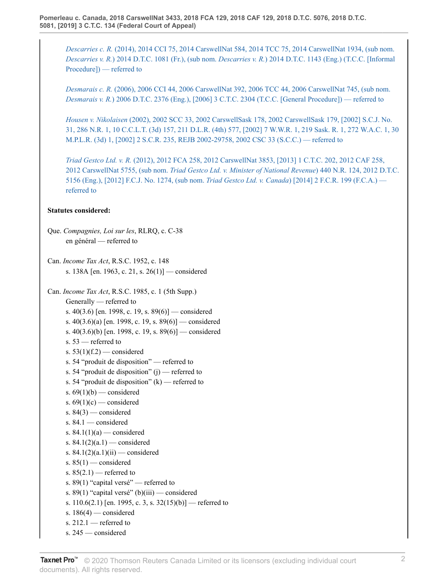*Descarries c. R.* [\(2014\), 2014 CCI 75, 2014 CarswellNat 584, 2014 TCC 75, 2014 CarswellNat 1934, \(sub nom.](http://v3.taxnetpro.com/Document/Ifc466bf567e047d7e0440021280d79ee/View/FullText.html?originationContext=document&vr=3.0&rs=cblt1.0&transitionType=DocumentItem&contextData=(sc.Search)) *Descarries v. R.*) 2014 D.T.C. 1081 (Fr.), (sub nom. *Descarries v. R.*[\) 2014 D.T.C. 1143 \(Eng.\) \(T.C.C. \[Informal](http://v3.taxnetpro.com/Document/Ifc466bf567e047d7e0440021280d79ee/View/FullText.html?originationContext=document&vr=3.0&rs=cblt1.0&transitionType=DocumentItem&contextData=(sc.Search)) [Procedure\]\) — referred to](http://v3.taxnetpro.com/Document/Ifc466bf567e047d7e0440021280d79ee/View/FullText.html?originationContext=document&vr=3.0&rs=cblt1.0&transitionType=DocumentItem&contextData=(sc.Search))

*Desmarais c. R.* [\(2006\), 2006 CCI 44, 2006 CarswellNat 392, 2006 TCC 44, 2006 CarswellNat 745, \(sub nom.](http://v3.taxnetpro.com/Document/I8d7d939392a35dece0440003ba833f85/View/FullText.html?originationContext=document&vr=3.0&rs=cblt1.0&transitionType=DocumentItem&contextData=(sc.Search)) *Desmarais v. R.*[\) 2006 D.T.C. 2376 \(Eng.\), \[2006\] 3 C.T.C. 2304 \(T.C.C. \[General Procedure\]\) — referred to](http://v3.taxnetpro.com/Document/I8d7d939392a35dece0440003ba833f85/View/FullText.html?originationContext=document&vr=3.0&rs=cblt1.0&transitionType=DocumentItem&contextData=(sc.Search))

*Housen v. Nikolaisen* [\(2002\), 2002 SCC 33, 2002 CarswellSask 178, 2002 CarswellSask 179, \[2002\] S.C.J. No.](http://v3.taxnetpro.com/Document/I17a3d4299a0372cbe0540021280d79ee/View/FullText.html?originationContext=document&vr=3.0&rs=cblt1.0&transitionType=DocumentItem&contextData=(sc.Search)) [31, 286 N.R. 1, 10 C.C.L.T. \(3d\) 157, 211 D.L.R. \(4th\) 577, \[2002\] 7 W.W.R. 1, 219 Sask. R. 1, 272 W.A.C. 1, 30](http://v3.taxnetpro.com/Document/I17a3d4299a0372cbe0540021280d79ee/View/FullText.html?originationContext=document&vr=3.0&rs=cblt1.0&transitionType=DocumentItem&contextData=(sc.Search)) [M.P.L.R. \(3d\) 1, \[2002\] 2 S.C.R. 235, REJB 2002-29758, 2002 CSC 33 \(S.C.C.\) — referred to](http://v3.taxnetpro.com/Document/I17a3d4299a0372cbe0540021280d79ee/View/FullText.html?originationContext=document&vr=3.0&rs=cblt1.0&transitionType=DocumentItem&contextData=(sc.Search))

*Triad Gestco Ltd. v. R.* [\(2012\), 2012 FCA 258, 2012 CarswellNat 3853, \[2013\] 1 C.T.C. 202, 2012 CAF 258,](http://v3.taxnetpro.com/Document/Icc472418b71c07e0e0440021280d79ee/View/FullText.html?originationContext=document&vr=3.0&rs=cblt1.0&transitionType=DocumentItem&contextData=(sc.Search)) 2012 CarswellNat 5755, (sub nom. *[Triad Gestco Ltd. v. Minister of National Revenue](http://v3.taxnetpro.com/Document/Icc472418b71c07e0e0440021280d79ee/View/FullText.html?originationContext=document&vr=3.0&rs=cblt1.0&transitionType=DocumentItem&contextData=(sc.Search))*) 440 N.R. 124, 2012 D.T.C. [5156 \(Eng.\), \[2012\] F.C.J. No. 1274, \(sub nom.](http://v3.taxnetpro.com/Document/Icc472418b71c07e0e0440021280d79ee/View/FullText.html?originationContext=document&vr=3.0&rs=cblt1.0&transitionType=DocumentItem&contextData=(sc.Search)) *Triad Gestco Ltd. v. Canada*) [2014] 2 F.C.R. 199 (F.C.A.) [referred to](http://v3.taxnetpro.com/Document/Icc472418b71c07e0e0440021280d79ee/View/FullText.html?originationContext=document&vr=3.0&rs=cblt1.0&transitionType=DocumentItem&contextData=(sc.Search))

#### **Statutes considered:**

Que. *Compagnies, Loi sur les*, RLRQ, c. C-38 en général — referred to

Can. *Income Tax Act*, R.S.C. 1952, c. 148 s. 138A [en. 1963, c. 21, s. 26(1)] — considered

Can. *Income Tax Act*, R.S.C. 1985, c. 1 (5th Supp.) Generally — referred to s. 40(3.6) [en. 1998, c. 19, s. 89(6)] — considered s. 40(3.6)(a) [en. 1998, c. 19, s. 89(6)] — considered s. 40(3.6)(b) [en. 1998, c. 19, s. 89(6)] — considered s. 53 — referred to s.  $53(1)(f.2)$  — considered s. 54 "produit de disposition" — referred to s. 54 "produit de disposition"  $(i)$  — referred to s. 54 "produit de disposition" (k) — referred to s.  $69(1)(b)$  — considered s.  $69(1)(c)$  — considered s.  $84(3)$  — considered s. 84.1 — considered s.  $84.1(1)(a)$  — considered s.  $84.1(2)(a.1)$  — considered s.  $84.1(2)(a.1)(ii)$  — considered s.  $85(1)$  — considered s.  $85(2.1)$  — referred to s. 89(1) "capital versé" — referred to s. 89(1) "capital versé" (b)(iii) — considered s. 110.6(2.1) [en. 1995, c. 3, s. 32(15)(b)] — referred to s.  $186(4)$  — considered s.  $212.1$  — referred to s. 245 — considered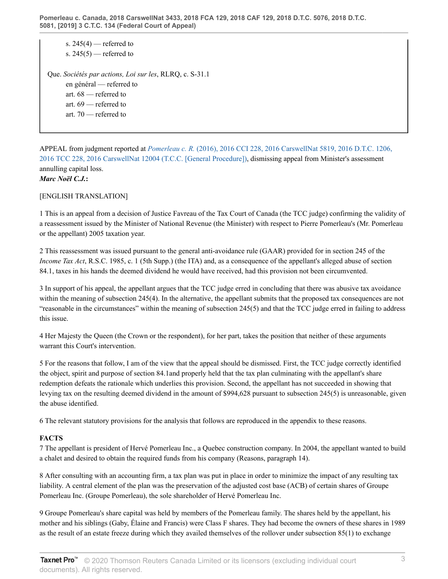s.  $245(4)$  — referred to s.  $245(5)$  — referred to Que. *Sociétés par actions, Loi sur les*, RLRQ, c. S-31.1 en général — referred to art. 68 — referred to art. 69 — referred to art. 70 — referred to

APPEAL from judgment reported at *Pomerleau c. R.* [\(2016\), 2016 CCI 228, 2016 CarswellNat 5819, 2016 D.T.C. 1206,](http://v3.taxnetpro.com/Document/I65d35fef80ba3d7ae0540021280d7cce/View/FullText.html?originationContext=document&vr=3.0&rs=cblt1.0&transitionType=DocumentItem&contextData=(sc.Search)) [2016 TCC 228, 2016 CarswellNat 12004 \(T.C.C. \[General Procedure\]\)](http://v3.taxnetpro.com/Document/I65d35fef80ba3d7ae0540021280d7cce/View/FullText.html?originationContext=document&vr=3.0&rs=cblt1.0&transitionType=DocumentItem&contextData=(sc.Search)), dismissing appeal from Minister's assessment annulling capital loss. *Marc Noël C.J.***:**

[ENGLISH TRANSLATION]

1 This is an appeal from a decision of Justice Favreau of the Tax Court of Canada (the TCC judge) confirming the validity of a reassessment issued by the Minister of National Revenue (the Minister) with respect to Pierre Pomerleau's (Mr. Pomerleau or the appellant) 2005 taxation year.

2 This reassessment was issued pursuant to the general anti-avoidance rule (GAAR) provided for in section 245 of the *Income Tax Act*, R.S.C. 1985, c. 1 (5th Supp.) (the ITA) and, as a consequence of the appellant's alleged abuse of section 84.1, taxes in his hands the deemed dividend he would have received, had this provision not been circumvented.

3 In support of his appeal, the appellant argues that the TCC judge erred in concluding that there was abusive tax avoidance within the meaning of subsection 245(4). In the alternative, the appellant submits that the proposed tax consequences are not "reasonable in the circumstances" within the meaning of subsection 245(5) and that the TCC judge erred in failing to address this issue.

4 Her Majesty the Queen (the Crown or the respondent), for her part, takes the position that neither of these arguments warrant this Court's intervention.

5 For the reasons that follow, I am of the view that the appeal should be dismissed. First, the TCC judge correctly identified the object, spirit and purpose of section 84.1and properly held that the tax plan culminating with the appellant's share redemption defeats the rationale which underlies this provision. Second, the appellant has not succeeded in showing that levying tax on the resulting deemed dividend in the amount of \$994,628 pursuant to subsection 245(5) is unreasonable, given the abuse identified.

6 The relevant statutory provisions for the analysis that follows are reproduced in the appendix to these reasons.

# **FACTS**

7 The appellant is president of Hervé Pomerleau Inc., a Quebec construction company. In 2004, the appellant wanted to build a chalet and desired to obtain the required funds from his company (Reasons, paragraph 14).

8 After consulting with an accounting firm, a tax plan was put in place in order to minimize the impact of any resulting tax liability. A central element of the plan was the preservation of the adjusted cost base (ACB) of certain shares of Groupe Pomerleau Inc. (Groupe Pomerleau), the sole shareholder of Hervé Pomerleau Inc.

9 Groupe Pomerleau's share capital was held by members of the Pomerleau family. The shares held by the appellant, his mother and his siblings (Gaby, Élaine and Francis) were Class F shares. They had become the owners of these shares in 1989 as the result of an estate freeze during which they availed themselves of the rollover under subsection 85(1) to exchange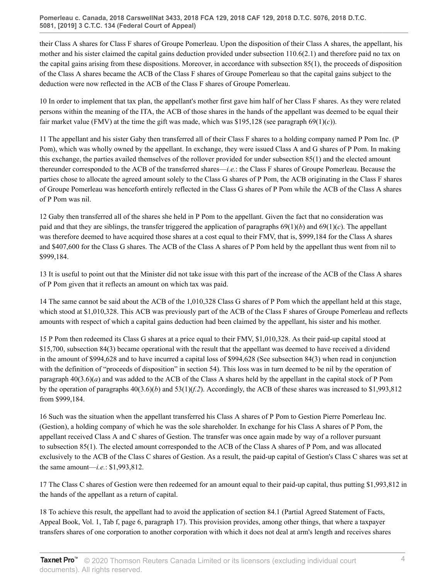their Class A shares for Class F shares of Groupe Pomerleau. Upon the disposition of their Class A shares, the appellant, his mother and his sister claimed the capital gains deduction provided under subsection 110.6(2.1) and therefore paid no tax on the capital gains arising from these dispositions. Moreover, in accordance with subsection 85(1), the proceeds of disposition of the Class A shares became the ACB of the Class F shares of Groupe Pomerleau so that the capital gains subject to the deduction were now reflected in the ACB of the Class F shares of Groupe Pomerleau.

10 In order to implement that tax plan, the appellant's mother first gave him half of her Class F shares. As they were related persons within the meaning of the ITA, the ACB of those shares in the hands of the appellant was deemed to be equal their fair market value (FMV) at the time the gift was made, which was \$195,128 (see paragraph  $69(1)(c)$ ).

11 The appellant and his sister Gaby then transferred all of their Class F shares to a holding company named P Pom Inc. (P Pom), which was wholly owned by the appellant. In exchange, they were issued Class A and G shares of P Pom. In making this exchange, the parties availed themselves of the rollover provided for under subsection 85(1) and the elected amount thereunder corresponded to the ACB of the transferred shares—*i.e.*: the Class F shares of Groupe Pomerleau. Because the parties chose to allocate the agreed amount solely to the Class G shares of P Pom, the ACB originating in the Class F shares of Groupe Pomerleau was henceforth entirely reflected in the Class G shares of P Pom while the ACB of the Class A shares of P Pom was nil.

12 Gaby then transferred all of the shares she held in P Pom to the appellant. Given the fact that no consideration was paid and that they are siblings, the transfer triggered the application of paragraphs  $69(1)(b)$  and  $69(1)(c)$ . The appellant was therefore deemed to have acquired those shares at a cost equal to their FMV, that is, \$999,184 for the Class A shares and \$407,600 for the Class G shares. The ACB of the Class A shares of P Pom held by the appellant thus went from nil to \$999,184.

13 It is useful to point out that the Minister did not take issue with this part of the increase of the ACB of the Class A shares of P Pom given that it reflects an amount on which tax was paid.

14 The same cannot be said about the ACB of the 1,010,328 Class G shares of P Pom which the appellant held at this stage, which stood at \$1,010,328. This ACB was previously part of the ACB of the Class F shares of Groupe Pomerleau and reflects amounts with respect of which a capital gains deduction had been claimed by the appellant, his sister and his mother.

15 P Pom then redeemed its Class G shares at a price equal to their FMV, \$1,010,328. As their paid-up capital stood at \$15,700, subsection 84(3) became operational with the result that the appellant was deemed to have received a dividend in the amount of \$994,628 and to have incurred a capital loss of \$994,628 (See subsection 84(3) when read in conjunction with the definition of "proceeds of disposition" in section 54). This loss was in turn deemed to be nil by the operation of paragraph  $40(3.6)(a)$  and was added to the ACB of the Class A shares held by the appellant in the capital stock of P Pom by the operation of paragraphs  $40(3.6)(b)$  and  $53(1)(f.2)$ . Accordingly, the ACB of these shares was increased to \$1,993,812 from \$999,184.

16 Such was the situation when the appellant transferred his Class A shares of P Pom to Gestion Pierre Pomerleau Inc. (Gestion), a holding company of which he was the sole shareholder. In exchange for his Class A shares of P Pom, the appellant received Class A and C shares of Gestion. The transfer was once again made by way of a rollover pursuant to subsection 85(1). The elected amount corresponded to the ACB of the Class A shares of P Pom, and was allocated exclusively to the ACB of the Class C shares of Gestion. As a result, the paid-up capital of Gestion's Class C shares was set at the same amount—*i.e.*: \$1,993,812.

17 The Class C shares of Gestion were then redeemed for an amount equal to their paid-up capital, thus putting \$1,993,812 in the hands of the appellant as a return of capital.

18 To achieve this result, the appellant had to avoid the application of section 84.1 (Partial Agreed Statement of Facts, Appeal Book, Vol. 1, Tab f, page 6, paragraph 17). This provision provides, among other things, that where a taxpayer transfers shares of one corporation to another corporation with which it does not deal at arm's length and receives shares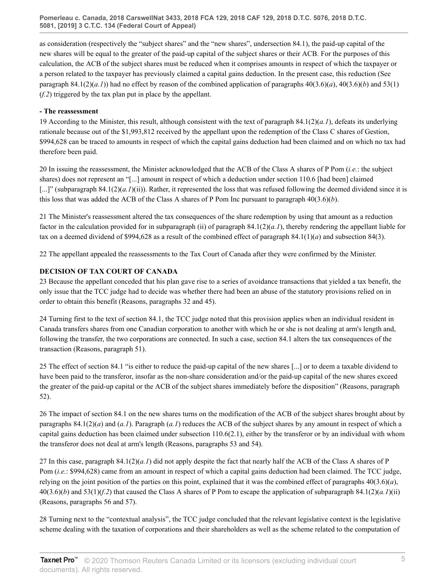as consideration (respectively the "subject shares" and the "new shares", undersection 84.1), the paid-up capital of the new shares will be equal to the greater of the paid-up capital of the subject shares or their ACB. For the purposes of this calculation, the ACB of the subject shares must be reduced when it comprises amounts in respect of which the taxpayer or a person related to the taxpayer has previously claimed a capital gains deduction. In the present case, this reduction (See paragraph 84.1(2)(*a.1*)) had no effect by reason of the combined application of paragraphs  $40(3.6)(a)$ ,  $40(3.6)(b)$  and  $53(1)$ (*f.2*) triggered by the tax plan put in place by the appellant.

# **- The reassessment**

19 According to the Minister, this result, although consistent with the text of paragraph 84.1(2)(*a.1*), defeats its underlying rationale because out of the \$1,993,812 received by the appellant upon the redemption of the Class C shares of Gestion, \$994,628 can be traced to amounts in respect of which the capital gains deduction had been claimed and on which no tax had therefore been paid.

20 In issuing the reassessment, the Minister acknowledged that the ACB of the Class A shares of P Pom (*i.e.*: the subject shares) does not represent an "[...] amount in respect of which a deduction under section 110.6 [had been] claimed [...]" (subparagraph 84.1(2)( $a$ .1)(ii)). Rather, it represented the loss that was refused following the deemed dividend since it is this loss that was added the ACB of the Class A shares of P Pom Inc pursuant to paragraph 40(3.6)(*b*).

21 The Minister's reassessment altered the tax consequences of the share redemption by using that amount as a reduction factor in the calculation provided for in subparagraph (ii) of paragraph  $84.1(2)(a.1)$ , thereby rendering the appellant liable for tax on a deemed dividend of \$994,628 as a result of the combined effect of paragraph  $84.1(1)(a)$  and subsection  $84(3)$ .

22 The appellant appealed the reassessments to the Tax Court of Canada after they were confirmed by the Minister.

# **DECISION OF TAX COURT OF CANADA**

23 Because the appellant conceded that his plan gave rise to a series of avoidance transactions that yielded a tax benefit, the only issue that the TCC judge had to decide was whether there had been an abuse of the statutory provisions relied on in order to obtain this benefit (Reasons, paragraphs 32 and 45).

24 Turning first to the text of section 84.1, the TCC judge noted that this provision applies when an individual resident in Canada transfers shares from one Canadian corporation to another with which he or she is not dealing at arm's length and, following the transfer, the two corporations are connected. In such a case, section 84.1 alters the tax consequences of the transaction (Reasons, paragraph 51).

25 The effect of section 84.1 "is either to reduce the paid-up capital of the new shares [...] or to deem a taxable dividend to have been paid to the transferor, insofar as the non-share consideration and/or the paid-up capital of the new shares exceed the greater of the paid-up capital or the ACB of the subject shares immediately before the disposition" (Reasons, paragraph 52).

26 The impact of section 84.1 on the new shares turns on the modification of the ACB of the subject shares brought about by paragraphs 84.1(2)(*a*) and (*a.1*). Paragraph (*a.1*) reduces the ACB of the subject shares by any amount in respect of which a capital gains deduction has been claimed under subsection  $110.6(2.1)$ , either by the transferor or by an individual with whom the transferor does not deal at arm's length (Reasons, paragraphs 53 and 54).

27 In this case, paragraph 84.1(2)( $a$ .1) did not apply despite the fact that nearly half the ACB of the Class A shares of P Pom (*i.e.*: \$994,628) came from an amount in respect of which a capital gains deduction had been claimed. The TCC judge, relying on the joint position of the parties on this point, explained that it was the combined effect of paragraphs 40(3.6)(*a*),  $40(3.6)(b)$  and  $53(1)(f.2)$  that caused the Class A shares of P Pom to escape the application of subparagraph 84.1(2)(*a.1*)(ii) (Reasons, paragraphs 56 and 57).

28 Turning next to the "contextual analysis", the TCC judge concluded that the relevant legislative context is the legislative scheme dealing with the taxation of corporations and their shareholders as well as the scheme related to the computation of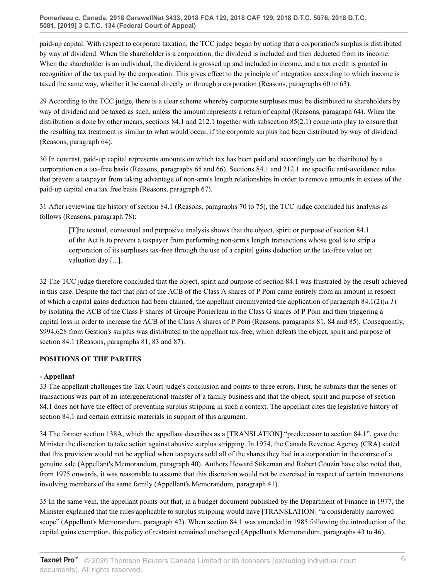paid-up capital. With respect to corporate taxation, the TCC judge began by noting that a corporation's surplus is distributed by way of dividend. When the shareholder is a corporation, the dividend is included and then deducted from its income. When the shareholder is an individual, the dividend is grossed up and included in income, and a tax credit is granted in recognition of the tax paid by the corporation. This gives effect to the principle of integration according to which income is taxed the same way, whether it be earned directly or through a corporation (Reasons, paragraphs 60 to 63).

29 According to the TCC judge, there is a clear scheme whereby corporate surpluses must be distributed to shareholders by way of dividend and be taxed as such, unless the amount represents a return of capital (Reasons, paragraph 64). When the distribution is done by other means, sections 84.1 and 212.1 together with subsection 85(2.1) come into play to ensure that the resulting tax treatment is similar to what would occur, if the corporate surplus had been distributed by way of dividend (Reasons, paragraph 64).

30 In contrast, paid-up capital represents amounts on which tax has been paid and accordingly can be distributed by a corporation on a tax-free basis (Reasons, paragraphs 65 and 66). Sections 84.1 and 212.1 are specific anti-avoidance rules that prevent a taxpayer from taking advantage of non-arm's length relationships in order to remove amounts in excess of the paid-up capital on a tax free basis (Reasons, paragraph 67).

31 After reviewing the history of section 84.1 (Reasons, paragraphs 70 to 75), the TCC judge concluded his analysis as follows (Reasons, paragraph 78):

[T]he textual, contextual and purposive analysis shows that the object, spirit or purpose of section 84.1 of the Act is to prevent a taxpayer from performing non-arm's length transactions whose goal is to strip a corporation of its surpluses tax-free through the use of a capital gains deduction or the tax-free value on valuation day [...].

32 The TCC judge therefore concluded that the object, spirit and purpose of section 84.1 was frustrated by the result achieved in this case. Despite the fact that part of the ACB of the Class A shares of P Pom came entirely from an amount in respect of which a capital gains deduction had been claimed, the appellant circumvented the application of paragraph  $84.1(2)(a.1)$ by isolating the ACB of the Class F shares of Groupe Pomerleau in the Class G shares of P Pom and then triggering a capital loss in order to increase the ACB of the Class A shares of P Pom (Reasons, paragraphs 81, 84 and 85). Consequently, \$994,628 from Gestion's surplus was distributed to the appellant tax-free, which defeats the object, spirit and purpose of section 84.1 (Reasons, paragraphs 81, 83 and 87).

# **POSITIONS OF THE PARTIES**

#### **- Appellant**

33 The appellant challenges the Tax Court judge's conclusion and points to three errors. First, he submits that the series of transactions was part of an intergenerational transfer of a family business and that the object, spirit and purpose of section 84.1 does not have the effect of preventing surplus stripping in such a context. The appellant cites the legislative history of section 84.1 and certain extrinsic materials in support of this argument.

34 The former section 138A, which the appellant describes as a [TRANSLATION] "predecessor to section 84.1", gave the Minister the discretion to take action against abusive surplus stripping. In 1974, the Canada Revenue Agency (CRA) stated that this provision would not be applied when taxpayers sold all of the shares they had in a corporation in the course of a genuine sale (Appellant's Memorandum, paragraph 40). Authors Heward Stikeman and Robert Couzin have also noted that, from 1975 onwards, it was reasonable to assume that this discretion would not be exercised in respect of certain transactions involving members of the same family (Appellant's Memorandum, paragraph 41).

35 In the same vein, the appellant points out that, in a budget document published by the Department of Finance in 1977, the Minister explained that the rules applicable to surplus stripping would have [TRANSLATION] "a considerably narrowed scope" (Appellant's Memorandum, paragraph 42). When section 84.1 was amended in 1985 following the introduction of the capital gains exemption, this policy of restraint remained unchanged (Appellant's Memorandum, paragraphs 43 to 46).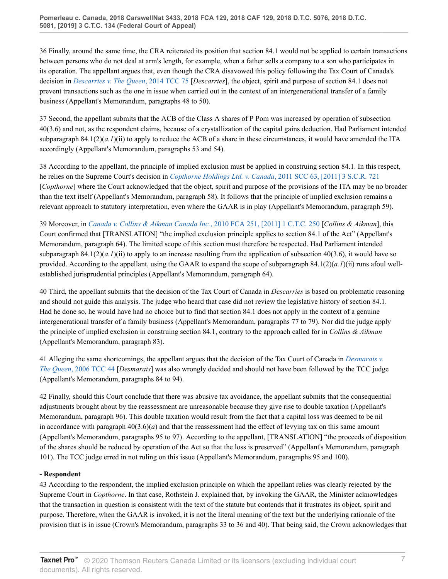36 Finally, around the same time, the CRA reiterated its position that section 84.1 would not be applied to certain transactions between persons who do not deal at arm's length, for example, when a father sells a company to a son who participates in its operation. The appellant argues that, even though the CRA disavowed this policy following the Tax Court of Canada's decision in *[Descarries v. The Queen](http://v3.taxnetpro.com/Document/Ifc466bf567e047d7e0440021280d79ee/View/FullText.html?originationContext=document&vr=3.0&rs=cblt1.0&transitionType=DocumentItem&contextData=(sc.Search))*, 2014 TCC 75 [*Descarries*], the object, spirit and purpose of section 84.1 does not prevent transactions such as the one in issue when carried out in the context of an intergenerational transfer of a family business (Appellant's Memorandum, paragraphs 48 to 50).

37 Second, the appellant submits that the ACB of the Class A shares of P Pom was increased by operation of subsection 40(3.6) and not, as the respondent claims, because of a crystallization of the capital gains deduction. Had Parliament intended subparagraph  $84.1(2)(a.1)$ (ii) to apply to reduce the ACB of a share in these circumstances, it would have amended the ITA accordingly (Appellant's Memorandum, paragraphs 53 and 54).

38 According to the appellant, the principle of implied exclusion must be applied in construing section 84.1. In this respect, he relies on the Supreme Court's decision in *Copthorne Holdings Ltd. v. Canada*[, 2011 SCC 63, \[2011\] 3 S.C.R. 721](http://v3.taxnetpro.com/Document/Ib6468171105f07f8e0440021280d79ee/View/FullText.html?originationContext=document&vr=3.0&rs=cblt1.0&transitionType=DocumentItem&contextData=(sc.Search)) [*Copthorne*] where the Court acknowledged that the object, spirit and purpose of the provisions of the ITA may be no broader than the text itself (Appellant's Memorandum, paragraph 58). It follows that the principle of implied exclusion remains a relevant approach to statutory interpretation, even where the GAAR is in play (Appellant's Memorandum, paragraph 59).

39 Moreover, in *[Canada v. Collins & Aikman Canada Inc.](http://v3.taxnetpro.com/Document/I9310e05a51c227a3e0440003ba833f85/View/FullText.html?originationContext=document&vr=3.0&rs=cblt1.0&transitionType=DocumentItem&contextData=(sc.Search))*, 2010 FCA 251, [2011] 1 C.T.C. 250 [*Collins & Aikman*], this Court confirmed that [TRANSLATION] "the implied exclusion principle applies to section 84.1 of the Act" (Appellant's Memorandum, paragraph 64). The limited scope of this section must therefore be respected. Had Parliament intended subparagraph  $84.1(2)(a)$ (ii) to apply to an increase resulting from the application of subsection 40(3.6), it would have so provided. According to the appellant, using the GAAR to expand the scope of subparagraph 84.1(2)(*a.1*)(ii) runs afoul wellestablished jurisprudential principles (Appellant's Memorandum, paragraph 64).

40 Third, the appellant submits that the decision of the Tax Court of Canada in *Descarries* is based on problematic reasoning and should not guide this analysis. The judge who heard that case did not review the legislative history of section 84.1. Had he done so, he would have had no choice but to find that section 84.1 does not apply in the context of a genuine intergenerational transfer of a family business (Appellant's Memorandum, paragraphs 77 to 79). Nor did the judge apply the principle of implied exclusion in construing section 84.1, contrary to the approach called for in *Collins & Aikman* (Appellant's Memorandum, paragraph 83).

41 Alleging the same shortcomings, the appellant argues that the decision of the Tax Court of Canada in *[Desmarais v.](http://v3.taxnetpro.com/Document/I8d7d939392a35dece0440003ba833f85/View/FullText.html?originationContext=document&vr=3.0&rs=cblt1.0&transitionType=DocumentItem&contextData=(sc.Search)) The Queen*[, 2006 TCC 44](http://v3.taxnetpro.com/Document/I8d7d939392a35dece0440003ba833f85/View/FullText.html?originationContext=document&vr=3.0&rs=cblt1.0&transitionType=DocumentItem&contextData=(sc.Search)) [*Desmarais*] was also wrongly decided and should not have been followed by the TCC judge (Appellant's Memorandum, paragraphs 84 to 94).

42 Finally, should this Court conclude that there was abusive tax avoidance, the appellant submits that the consequential adjustments brought about by the reassessment are unreasonable because they give rise to double taxation (Appellant's Memorandum, paragraph 96). This double taxation would result from the fact that a capital loss was deemed to be nil in accordance with paragraph  $40(3.6)(a)$  and that the reassessment had the effect of levying tax on this same amount (Appellant's Memorandum, paragraphs 95 to 97). According to the appellant, [TRANSLATION] "the proceeds of disposition of the shares should be reduced by operation of the Act so that the loss is preserved" (Appellant's Memorandum, paragraph 101). The TCC judge erred in not ruling on this issue (Appellant's Memorandum, paragraphs 95 and 100).

# **- Respondent**

43 According to the respondent, the implied exclusion principle on which the appellant relies was clearly rejected by the Supreme Court in *Copthorne*. In that case, Rothstein J. explained that, by invoking the GAAR, the Minister acknowledges that the transaction in question is consistent with the text of the statute but contends that it frustrates its object, spirit and purpose. Therefore, when the GAAR is invoked, it is not the literal meaning of the text but the underlying rationale of the provision that is in issue (Crown's Memorandum, paragraphs 33 to 36 and 40). That being said, the Crown acknowledges that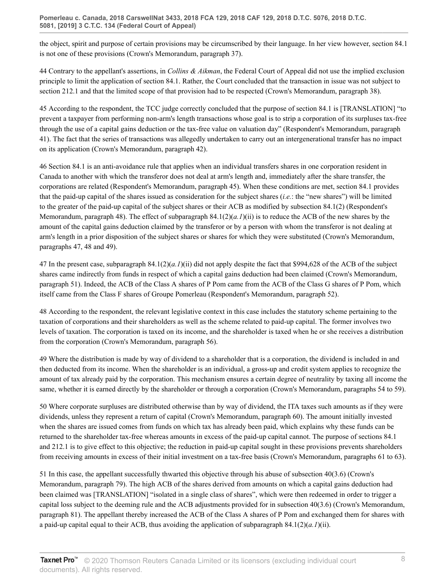the object, spirit and purpose of certain provisions may be circumscribed by their language. In her view however, section 84.1 is not one of these provisions (Crown's Memorandum, paragraph 37).

44 Contrary to the appellant's assertions, in *Collins & Aikman*, the Federal Court of Appeal did not use the implied exclusion principle to limit the application of section 84.1. Rather, the Court concluded that the transaction in issue was not subject to section 212.1 and that the limited scope of that provision had to be respected (Crown's Memorandum, paragraph 38).

45 According to the respondent, the TCC judge correctly concluded that the purpose of section 84.1 is [TRANSLATION] "to prevent a taxpayer from performing non-arm's length transactions whose goal is to strip a corporation of its surpluses tax-free through the use of a capital gains deduction or the tax-free value on valuation day" (Respondent's Memorandum, paragraph 41). The fact that the series of transactions was allegedly undertaken to carry out an intergenerational transfer has no impact on its application (Crown's Memorandum, paragraph 42).

46 Section 84.1 is an anti-avoidance rule that applies when an individual transfers shares in one corporation resident in Canada to another with which the transferor does not deal at arm's length and, immediately after the share transfer, the corporations are related (Respondent's Memorandum, paragraph 45). When these conditions are met, section 84.1 provides that the paid-up capital of the shares issued as consideration for the subject shares (*i.e.*: the "new shares") will be limited to the greater of the paid-up capital of the subject shares or their ACB as modified by subsection 84.1(2) (Respondent's Memorandum, paragraph 48). The effect of subparagraph  $84.1(2)(a.1)(ii)$  is to reduce the ACB of the new shares by the amount of the capital gains deduction claimed by the transferor or by a person with whom the transferor is not dealing at arm's length in a prior disposition of the subject shares or shares for which they were substituted (Crown's Memorandum, paragraphs 47, 48 and 49).

47 In the present case, subparagraph  $84.1(2)(a.1)(ii)$  did not apply despite the fact that \$994,628 of the ACB of the subject shares came indirectly from funds in respect of which a capital gains deduction had been claimed (Crown's Memorandum, paragraph 51). Indeed, the ACB of the Class A shares of P Pom came from the ACB of the Class G shares of P Pom, which itself came from the Class F shares of Groupe Pomerleau (Respondent's Memorandum, paragraph 52).

48 According to the respondent, the relevant legislative context in this case includes the statutory scheme pertaining to the taxation of corporations and their shareholders as well as the scheme related to paid-up capital. The former involves two levels of taxation. The corporation is taxed on its income, and the shareholder is taxed when he or she receives a distribution from the corporation (Crown's Memorandum, paragraph 56).

49 Where the distribution is made by way of dividend to a shareholder that is a corporation, the dividend is included in and then deducted from its income. When the shareholder is an individual, a gross-up and credit system applies to recognize the amount of tax already paid by the corporation. This mechanism ensures a certain degree of neutrality by taxing all income the same, whether it is earned directly by the shareholder or through a corporation (Crown's Memorandum, paragraphs 54 to 59).

50 Where corporate surpluses are distributed otherwise than by way of dividend, the ITA taxes such amounts as if they were dividends, unless they represent a return of capital (Crown's Memorandum, paragraph 60). The amount initially invested when the shares are issued comes from funds on which tax has already been paid, which explains why these funds can be returned to the shareholder tax-free whereas amounts in excess of the paid-up capital cannot. The purpose of sections 84.1 and 212.1 is to give effect to this objective; the reduction in paid-up capital sought in these provisions prevents shareholders from receiving amounts in excess of their initial investment on a tax-free basis (Crown's Memorandum, paragraphs 61 to 63).

51 In this case, the appellant successfully thwarted this objective through his abuse of subsection 40(3.6) (Crown's Memorandum, paragraph 79). The high ACB of the shares derived from amounts on which a capital gains deduction had been claimed was [TRANSLATION] "isolated in a single class of shares", which were then redeemed in order to trigger a capital loss subject to the deeming rule and the ACB adjustments provided for in subsection 40(3.6) (Crown's Memorandum, paragraph 81). The appellant thereby increased the ACB of the Class A shares of P Pom and exchanged them for shares with a paid-up capital equal to their ACB, thus avoiding the application of subparagraph 84.1(2)(*a.1*)(ii).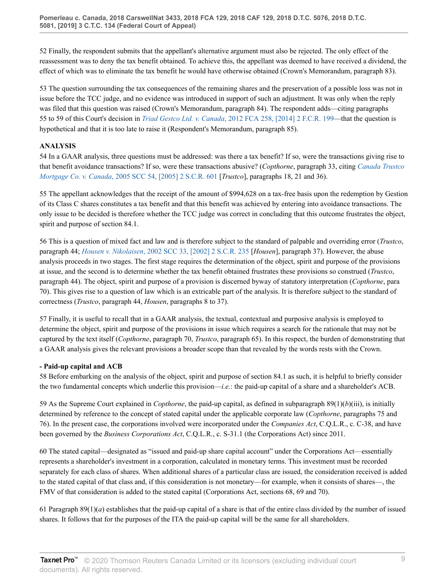52 Finally, the respondent submits that the appellant's alternative argument must also be rejected. The only effect of the reassessment was to deny the tax benefit obtained. To achieve this, the appellant was deemed to have received a dividend, the effect of which was to eliminate the tax benefit he would have otherwise obtained (Crown's Memorandum, paragraph 83).

53 The question surrounding the tax consequences of the remaining shares and the preservation of a possible loss was not in issue before the TCC judge, and no evidence was introduced in support of such an adjustment. It was only when the reply was filed that this question was raised (Crown's Memorandum, paragraph 84). The respondent adds—citing paragraphs 55 to 59 of this Court's decision in *Triad Gestco Ltd. v. Canada*[, 2012 FCA 258, \[2014\] 2 F.C.R. 199](http://v3.taxnetpro.com/Document/Icc472418b71c07e0e0440021280d79ee/View/FullText.html?originationContext=document&vr=3.0&rs=cblt1.0&transitionType=DocumentItem&contextData=(sc.Search))—that the question is hypothetical and that it is too late to raise it (Respondent's Memorandum, paragraph 85).

# **ANALYSIS**

54 In a GAAR analysis, three questions must be addressed: was there a tax benefit? If so, were the transactions giving rise to that benefit avoidance transactions? If so, were these transactions abusive? (*Copthorne*, paragraph 33, citing *[Canada Trustco](http://v3.taxnetpro.com/Document/I8d7d939394245dece0440003ba833f85/View/FullText.html?originationContext=document&vr=3.0&rs=cblt1.0&transitionType=DocumentItem&contextData=(sc.Search)) Mortgage Co. v. Canada*[, 2005 SCC 54, \[2005\] 2 S.C.R. 601](http://v3.taxnetpro.com/Document/I8d7d939394245dece0440003ba833f85/View/FullText.html?originationContext=document&vr=3.0&rs=cblt1.0&transitionType=DocumentItem&contextData=(sc.Search)) [*Trustco*], paragraphs 18, 21 and 36).

55 The appellant acknowledges that the receipt of the amount of \$994,628 on a tax-free basis upon the redemption by Gestion of its Class C shares constitutes a tax benefit and that this benefit was achieved by entering into avoidance transactions. The only issue to be decided is therefore whether the TCC judge was correct in concluding that this outcome frustrates the object, spirit and purpose of section 84.1.

56 This is a question of mixed fact and law and is therefore subject to the standard of palpable and overriding error (*Trustco*, paragraph 44; *Housen v. Nikolaisen*[, 2002 SCC 33, \[2002\] 2 S.C.R. 235](http://v3.taxnetpro.com/Document/I17a3d4299a0372cbe0540021280d79ee/View/FullText.html?originationContext=document&vr=3.0&rs=cblt1.0&transitionType=DocumentItem&contextData=(sc.Search)) [*Housen*], paragraph 37). However, the abuse analysis proceeds in two stages. The first stage requires the determination of the object, spirit and purpose of the provisions at issue, and the second is to determine whether the tax benefit obtained frustrates these provisions so construed (*Trustco*, paragraph 44). The object, spirit and purpose of a provision is discerned byway of statutory interpretation (*Copthorne*, para 70). This gives rise to a question of law which is an extricable part of the analysis. It is therefore subject to the standard of correctness (*Trustco*, paragraph 44, *Housen*, paragraphs 8 to 37).

57 Finally, it is useful to recall that in a GAAR analysis, the textual, contextual and purposive analysis is employed to determine the object, spirit and purpose of the provisions in issue which requires a search for the rationale that may not be captured by the text itself (*Copthorne*, paragraph 70, *Trustco*, paragraph 65). In this respect, the burden of demonstrating that a GAAR analysis gives the relevant provisions a broader scope than that revealed by the words rests with the Crown.

# **- Paid-up capital and ACB**

58 Before embarking on the analysis of the object, spirit and purpose of section 84.1 as such, it is helpful to briefly consider the two fundamental concepts which underlie this provision—*i.e.*: the paid-up capital of a share and a shareholder's ACB.

59 As the Supreme Court explained in *Copthorne*, the paid-up capital, as defined in subparagraph 89(1)(*b*)(iii), is initially determined by reference to the concept of stated capital under the applicable corporate law (*Copthorne*, paragraphs 75 and 76). In the present case, the corporations involved were incorporated under the *Companies Act*, C.Q.L.R., c. C-38, and have been governed by the *Business Corporations Act*, C.Q.L.R., c. S-31.1 (the Corporations Act) since 2011.

60 The stated capital—designated as "issued and paid-up share capital account" under the Corporations Act—essentially represents a shareholder's investment in a corporation, calculated in monetary terms. This investment must be recorded separately for each class of shares. When additional shares of a particular class are issued, the consideration received is added to the stated capital of that class and, if this consideration is not monetary—for example, when it consists of shares—, the FMV of that consideration is added to the stated capital (Corporations Act, sections 68, 69 and 70).

61 Paragraph  $89(1)(a)$  establishes that the paid-up capital of a share is that of the entire class divided by the number of issued shares. It follows that for the purposes of the ITA the paid-up capital will be the same for all shareholders.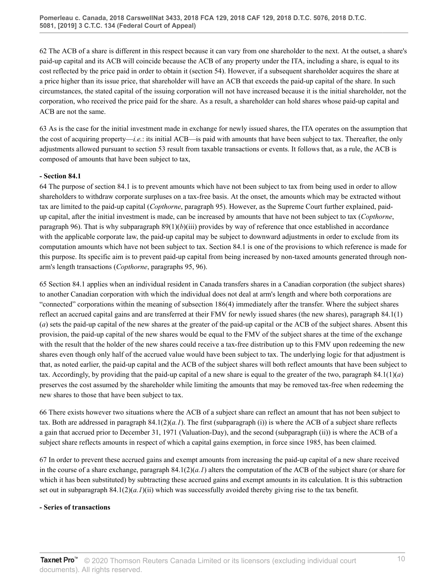62 The ACB of a share is different in this respect because it can vary from one shareholder to the next. At the outset, a share's paid-up capital and its ACB will coincide because the ACB of any property under the ITA, including a share, is equal to its cost reflected by the price paid in order to obtain it (section 54). However, if a subsequent shareholder acquires the share at a price higher than its issue price, that shareholder will have an ACB that exceeds the paid-up capital of the share. In such circumstances, the stated capital of the issuing corporation will not have increased because it is the initial shareholder, not the corporation, who received the price paid for the share. As a result, a shareholder can hold shares whose paid-up capital and ACB are not the same.

63 As is the case for the initial investment made in exchange for newly issued shares, the ITA operates on the assumption that the cost of acquiring property—*i.e.*: its initial ACB—is paid with amounts that have been subject to tax. Thereafter, the only adjustments allowed pursuant to section 53 result from taxable transactions or events. It follows that, as a rule, the ACB is composed of amounts that have been subject to tax,

#### **- Section 84.1**

64 The purpose of section 84.1 is to prevent amounts which have not been subject to tax from being used in order to allow shareholders to withdraw corporate surpluses on a tax-free basis. At the onset, the amounts which may be extracted without tax are limited to the paid-up capital (*Copthorne*, paragraph 95). However, as the Supreme Court further explained, paidup capital, after the initial investment is made, can be increased by amounts that have not been subject to tax (*Copthorne*, paragraph 96). That is why subparagraph  $89(1)(b)(iii)$  provides by way of reference that once established in accordance with the applicable corporate law, the paid-up capital may be subject to downward adjustments in order to exclude from its computation amounts which have not been subject to tax. Section 84.1 is one of the provisions to which reference is made for this purpose. Its specific aim is to prevent paid-up capital from being increased by non-taxed amounts generated through nonarm's length transactions (*Copthorne*, paragraphs 95, 96).

65 Section 84.1 applies when an individual resident in Canada transfers shares in a Canadian corporation (the subject shares) to another Canadian corporation with which the individual does not deal at arm's length and where both corporations are "connected" corporations within the meaning of subsection 186(4) immediately after the transfer. Where the subject shares reflect an accrued capital gains and are transferred at their FMV for newly issued shares (the new shares), paragraph 84.1(1) (*a*) sets the paid-up capital of the new shares at the greater of the paid-up capital or the ACB of the subject shares. Absent this provision, the paid-up capital of the new shares would be equal to the FMV of the subject shares at the time of the exchange with the result that the holder of the new shares could receive a tax-free distribution up to this FMV upon redeeming the new shares even though only half of the accrued value would have been subject to tax. The underlying logic for that adjustment is that, as noted earlier, the paid-up capital and the ACB of the subject shares will both reflect amounts that have been subject to tax. Accordingly, by providing that the paid-up capital of a new share is equal to the greater of the two, paragraph  $84.1(1)(a)$ preserves the cost assumed by the shareholder while limiting the amounts that may be removed tax-free when redeeming the new shares to those that have been subject to tax.

66 There exists however two situations where the ACB of a subject share can reflect an amount that has not been subject to tax. Both are addressed in paragraph  $84.1(2)(a.1)$ . The first (subparagraph (i)) is where the ACB of a subject share reflects a gain that accrued prior to December 31, 1971 (Valuation-Day), and the second (subparagraph (ii)) is where the ACB of a subject share reflects amounts in respect of which a capital gains exemption, in force since 1985, has been claimed.

67 In order to prevent these accrued gains and exempt amounts from increasing the paid-up capital of a new share received in the course of a share exchange, paragraph  $84.1(2)(a.1)$  alters the computation of the ACB of the subject share (or share for which it has been substituted) by subtracting these accrued gains and exempt amounts in its calculation. It is this subtraction set out in subparagraph  $84.1(2)(a.1)(ii)$  which was successfully avoided thereby giving rise to the tax benefit.

# **- Series of transactions**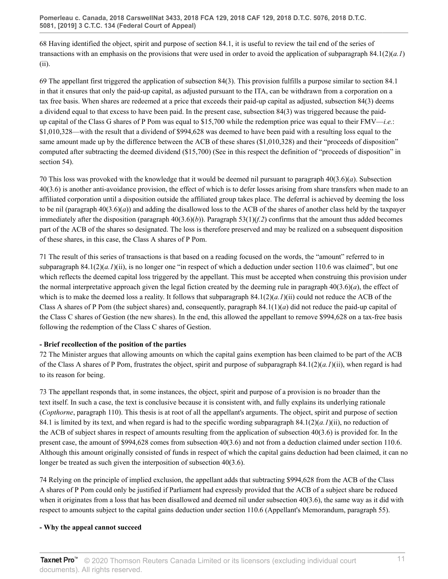68 Having identified the object, spirit and purpose of section 84.1, it is useful to review the tail end of the series of transactions with an emphasis on the provisions that were used in order to avoid the application of subparagraph  $84.1(2)(a.1)$ (ii).

69 The appellant first triggered the application of subsection 84(3). This provision fulfills a purpose similar to section 84.1 in that it ensures that only the paid-up capital, as adjusted pursuant to the ITA, can be withdrawn from a corporation on a tax free basis. When shares are redeemed at a price that exceeds their paid-up capital as adjusted, subsection 84(3) deems a dividend equal to that excess to have been paid. In the present case, subsection 84(3) was triggered because the paidup capital of the Class G shares of P Pom was equal to \$15,700 while the redemption price was equal to their FMV—*i.e.*: \$1,010,328—with the result that a dividend of \$994,628 was deemed to have been paid with a resulting loss equal to the same amount made up by the difference between the ACB of these shares (\$1,010,328) and their "proceeds of disposition" computed after subtracting the deemed dividend (\$15,700) (See in this respect the definition of "proceeds of disposition" in section 54).

70 This loss was provoked with the knowledge that it would be deemed nil pursuant to paragraph 40(3.6)(*a*). Subsection 40(3.6) is another anti-avoidance provision, the effect of which is to defer losses arising from share transfers when made to an affiliated corporation until a disposition outside the affiliated group takes place. The deferral is achieved by deeming the loss to be nil (paragraph 40(3.6)(*a*)) and adding the disallowed loss to the ACB of the shares of another class held by the taxpayer immediately after the disposition (paragraph 40(3.6)(*b*)). Paragraph 53(1)(*f.2*) confirms that the amount thus added becomes part of the ACB of the shares so designated. The loss is therefore preserved and may be realized on a subsequent disposition of these shares, in this case, the Class A shares of P Pom.

71 The result of this series of transactions is that based on a reading focused on the words, the "amount" referred to in subparagraph  $84.1(2)(a.1)$ (ii), is no longer one "in respect of which a deduction under section 110.6 was claimed", but one which reflects the deemed capital loss triggered by the appellant. This must be accepted when construing this provision under the normal interpretative approach given the legal fiction created by the deeming rule in paragraph 40(3.6)(*a*), the effect of which is to make the deemed loss a reality. It follows that subparagraph  $84.1(2)(a.1)(ii)$  could not reduce the ACB of the Class A shares of P Pom (the subject shares) and, consequently, paragraph 84.1(1)(*a*) did not reduce the paid-up capital of the Class C shares of Gestion (the new shares). In the end, this allowed the appellant to remove \$994,628 on a tax-free basis following the redemption of the Class C shares of Gestion.

# **- Brief recollection of the position of the parties**

72 The Minister argues that allowing amounts on which the capital gains exemption has been claimed to be part of the ACB of the Class A shares of P Pom, frustrates the object, spirit and purpose of subparagraph 84.1(2)(*a.1*)(ii), when regard is had to its reason for being.

73 The appellant responds that, in some instances, the object, spirit and purpose of a provision is no broader than the text itself. In such a case, the text is conclusive because it is consistent with, and fully explains its underlying rationale (*Copthorne*, paragraph 110). This thesis is at root of all the appellant's arguments. The object, spirit and purpose of section 84.1 is limited by its text, and when regard is had to the specific wording subparagraph 84.1(2)(*a.1*)(ii), no reduction of the ACB of subject shares in respect of amounts resulting from the application of subsection 40(3.6) is provided for. In the present case, the amount of \$994,628 comes from subsection 40(3.6) and not from a deduction claimed under section 110.6. Although this amount originally consisted of funds in respect of which the capital gains deduction had been claimed, it can no longer be treated as such given the interposition of subsection 40(3.6).

74 Relying on the principle of implied exclusion, the appellant adds that subtracting \$994,628 from the ACB of the Class A shares of P Pom could only be justified if Parliament had expressly provided that the ACB of a subject share be reduced when it originates from a loss that has been disallowed and deemed nil under subsection  $40(3.6)$ , the same way as it did with respect to amounts subject to the capital gains deduction under section 110.6 (Appellant's Memorandum, paragraph 55).

# **- Why the appeal cannot succeed**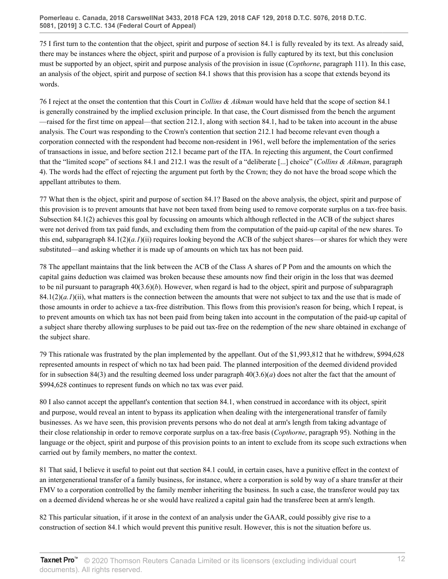75 I first turn to the contention that the object, spirit and purpose of section 84.1 is fully revealed by its text. As already said, there may be instances where the object, spirit and purpose of a provision is fully captured by its text, but this conclusion must be supported by an object, spirit and purpose analysis of the provision in issue (*Copthorne*, paragraph 111). In this case, an analysis of the object, spirit and purpose of section 84.1 shows that this provision has a scope that extends beyond its words.

76 I reject at the onset the contention that this Court in *Collins & Aikman* would have held that the scope of section 84.1 is generally constrained by the implied exclusion principle. In that case, the Court dismissed from the bench the argument —raised for the first time on appeal—that section 212.1, along with section 84.1, had to be taken into account in the abuse analysis. The Court was responding to the Crown's contention that section 212.1 had become relevant even though a corporation connected with the respondent had become non-resident in 1961, well before the implementation of the series of transactions in issue, and before section 212.1 became part of the ITA. In rejecting this argument, the Court confirmed that the "limited scope" of sections 84.1 and 212.1 was the result of a "deliberate [...] choice" (*Collins & Aikman*, paragraph 4). The words had the effect of rejecting the argument put forth by the Crown; they do not have the broad scope which the appellant attributes to them.

77 What then is the object, spirit and purpose of section 84.1? Based on the above analysis, the object, spirit and purpose of this provision is to prevent amounts that have not been taxed from being used to remove corporate surplus on a tax-free basis. Subsection 84.1(2) achieves this goal by focussing on amounts which although reflected in the ACB of the subject shares were not derived from tax paid funds, and excluding them from the computation of the paid-up capital of the new shares. To this end, subparagraph 84.1(2)(*a.1*)(ii) requires looking beyond the ACB of the subject shares—or shares for which they were substituted—and asking whether it is made up of amounts on which tax has not been paid.

78 The appellant maintains that the link between the ACB of the Class A shares of P Pom and the amounts on which the capital gains deduction was claimed was broken because these amounts now find their origin in the loss that was deemed to be nil pursuant to paragraph 40(3.6)(*b*). However, when regard is had to the object, spirit and purpose of subparagraph  $84.1(2)(a.1)$ (ii), what matters is the connection between the amounts that were not subject to tax and the use that is made of those amounts in order to achieve a tax-free distribution. This flows from this provision's reason for being, which I repeat, is to prevent amounts on which tax has not been paid from being taken into account in the computation of the paid-up capital of a subject share thereby allowing surpluses to be paid out tax-free on the redemption of the new share obtained in exchange of the subject share.

79 This rationale was frustrated by the plan implemented by the appellant. Out of the \$1,993,812 that he withdrew, \$994,628 represented amounts in respect of which no tax had been paid. The planned interposition of the deemed dividend provided for in subsection 84(3) and the resulting deemed loss under paragraph  $40(3.6)(a)$  does not alter the fact that the amount of \$994,628 continues to represent funds on which no tax was ever paid.

80 I also cannot accept the appellant's contention that section 84.1, when construed in accordance with its object, spirit and purpose, would reveal an intent to bypass its application when dealing with the intergenerational transfer of family businesses. As we have seen, this provision prevents persons who do not deal at arm's length from taking advantage of their close relationship in order to remove corporate surplus on a tax-free basis (*Copthorne*, paragraph 95). Nothing in the language or the object, spirit and purpose of this provision points to an intent to exclude from its scope such extractions when carried out by family members, no matter the context.

81 That said, I believe it useful to point out that section 84.1 could, in certain cases, have a punitive effect in the context of an intergenerational transfer of a family business, for instance, where a corporation is sold by way of a share transfer at their FMV to a corporation controlled by the family member inheriting the business. In such a case, the transferor would pay tax on a deemed dividend whereas he or she would have realized a capital gain had the transferee been at arm's length.

82 This particular situation, if it arose in the context of an analysis under the GAAR, could possibly give rise to a construction of section 84.1 which would prevent this punitive result. However, this is not the situation before us.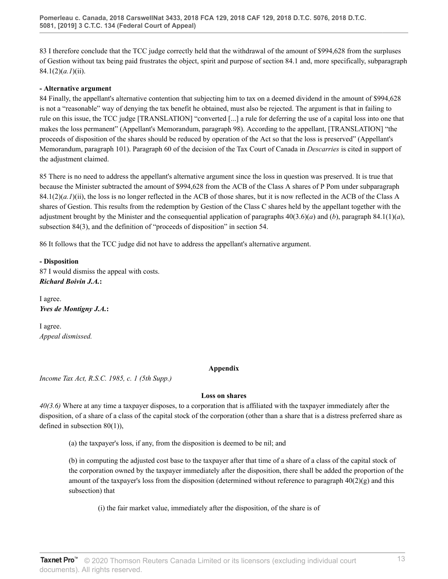83 I therefore conclude that the TCC judge correctly held that the withdrawal of the amount of \$994,628 from the surpluses of Gestion without tax being paid frustrates the object, spirit and purpose of section 84.1 and, more specifically, subparagraph 84.1(2)(*a.1*)(ii).

# **- Alternative argument**

84 Finally, the appellant's alternative contention that subjecting him to tax on a deemed dividend in the amount of \$994,628 is not a "reasonable" way of denying the tax benefit he obtained, must also be rejected. The argument is that in failing to rule on this issue, the TCC judge [TRANSLATION] "converted [...] a rule for deferring the use of a capital loss into one that makes the loss permanent" (Appellant's Memorandum, paragraph 98). According to the appellant, [TRANSLATION] "the proceeds of disposition of the shares should be reduced by operation of the Act so that the loss is preserved" (Appellant's Memorandum, paragraph 101). Paragraph 60 of the decision of the Tax Court of Canada in *Descarries* is cited in support of the adjustment claimed.

85 There is no need to address the appellant's alternative argument since the loss in question was preserved. It is true that because the Minister subtracted the amount of \$994,628 from the ACB of the Class A shares of P Pom under subparagraph  $84.1(2)(a.1)$ (ii), the loss is no longer reflected in the ACB of those shares, but it is now reflected in the ACB of the Class A shares of Gestion. This results from the redemption by Gestion of the Class C shares held by the appellant together with the adjustment brought by the Minister and the consequential application of paragraphs  $40(3.6)(a)$  and  $(b)$ , paragraph 84.1(1) $(a)$ , subsection 84(3), and the definition of "proceeds of disposition" in section 54.

86 It follows that the TCC judge did not have to address the appellant's alternative argument.

# **- Disposition**

87 I would dismiss the appeal with costs. *Richard Boivin J.A.***:**

I agree. *Yves de Montigny J.A.***:**

I agree. *Appeal dismissed.*

#### **Appendix**

*Income Tax Act, R.S.C. 1985, c. 1 (5th Supp.)*

# **Loss on shares**

*40(3.6)* Where at any time a taxpayer disposes, to a corporation that is affiliated with the taxpayer immediately after the disposition, of a share of a class of the capital stock of the corporation (other than a share that is a distress preferred share as defined in subsection 80(1)),

(a) the taxpayer's loss, if any, from the disposition is deemed to be nil; and

(b) in computing the adjusted cost base to the taxpayer after that time of a share of a class of the capital stock of the corporation owned by the taxpayer immediately after the disposition, there shall be added the proportion of the amount of the taxpayer's loss from the disposition (determined without reference to paragraph  $40(2)(g)$  and this subsection) that

(i) the fair market value, immediately after the disposition, of the share is of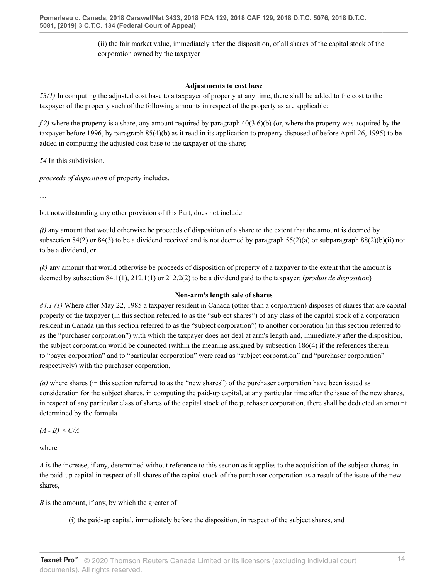(ii) the fair market value, immediately after the disposition, of all shares of the capital stock of the corporation owned by the taxpayer

#### **Adjustments to cost base**

*53(1)* In computing the adjusted cost base to a taxpayer of property at any time, there shall be added to the cost to the taxpayer of the property such of the following amounts in respect of the property as are applicable:

*f.2)* where the property is a share, any amount required by paragraph 40(3.6)(b) (or, where the property was acquired by the taxpayer before 1996, by paragraph 85(4)(b) as it read in its application to property disposed of before April 26, 1995) to be added in computing the adjusted cost base to the taxpayer of the share;

*54* In this subdivision,

*proceeds of disposition* of property includes,

…

but notwithstanding any other provision of this Part, does not include

*(j)* any amount that would otherwise be proceeds of disposition of a share to the extent that the amount is deemed by subsection 84(2) or 84(3) to be a dividend received and is not deemed by paragraph  $55(2)(a)$  or subparagraph  $88(2)(b)(ii)$  not to be a dividend, or

*(k)* any amount that would otherwise be proceeds of disposition of property of a taxpayer to the extent that the amount is deemed by subsection 84.1(1), 212.1(1) or 212.2(2) to be a dividend paid to the taxpayer; (*produit de disposition*)

# **Non-arm's length sale of shares**

*84.1 (1)* Where after May 22, 1985 a taxpayer resident in Canada (other than a corporation) disposes of shares that are capital property of the taxpayer (in this section referred to as the "subject shares") of any class of the capital stock of a corporation resident in Canada (in this section referred to as the "subject corporation") to another corporation (in this section referred to as the "purchaser corporation") with which the taxpayer does not deal at arm's length and, immediately after the disposition, the subject corporation would be connected (within the meaning assigned by subsection 186(4) if the references therein to "payer corporation" and to "particular corporation" were read as "subject corporation" and "purchaser corporation" respectively) with the purchaser corporation,

*(a)* where shares (in this section referred to as the "new shares") of the purchaser corporation have been issued as consideration for the subject shares, in computing the paid-up capital, at any particular time after the issue of the new shares, in respect of any particular class of shares of the capital stock of the purchaser corporation, there shall be deducted an amount determined by the formula

 $(A - B) \times C/A$ 

where

*A* is the increase, if any, determined without reference to this section as it applies to the acquisition of the subject shares, in the paid-up capital in respect of all shares of the capital stock of the purchaser corporation as a result of the issue of the new shares,

*B* is the amount, if any, by which the greater of

(i) the paid-up capital, immediately before the disposition, in respect of the subject shares, and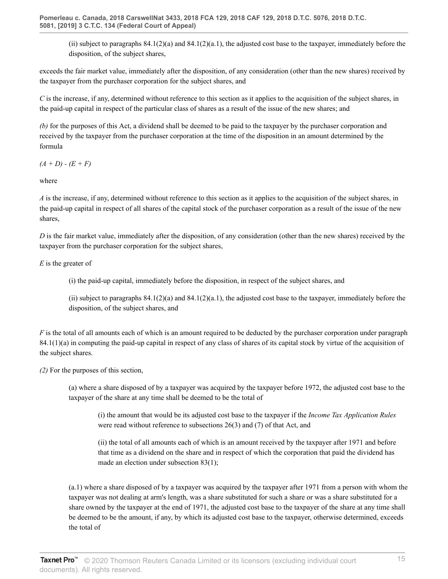(ii) subject to paragraphs  $84.1(2)(a)$  and  $84.1(2)(a.1)$ , the adjusted cost base to the taxpayer, immediately before the disposition, of the subject shares,

exceeds the fair market value, immediately after the disposition, of any consideration (other than the new shares) received by the taxpayer from the purchaser corporation for the subject shares, and

*C* is the increase, if any, determined without reference to this section as it applies to the acquisition of the subject shares, in the paid-up capital in respect of the particular class of shares as a result of the issue of the new shares; and

*(b)* for the purposes of this Act, a dividend shall be deemed to be paid to the taxpayer by the purchaser corporation and received by the taxpayer from the purchaser corporation at the time of the disposition in an amount determined by the formula

 $(A + D) - (E + F)$ 

where

*A* is the increase, if any, determined without reference to this section as it applies to the acquisition of the subject shares, in the paid-up capital in respect of all shares of the capital stock of the purchaser corporation as a result of the issue of the new shares,

*D* is the fair market value, immediately after the disposition, of any consideration (other than the new shares) received by the taxpayer from the purchaser corporation for the subject shares,

*E* is the greater of

(i) the paid-up capital, immediately before the disposition, in respect of the subject shares, and

(ii) subject to paragraphs  $84.1(2)(a)$  and  $84.1(2)(a.1)$ , the adjusted cost base to the taxpayer, immediately before the disposition, of the subject shares, and

*F* is the total of all amounts each of which is an amount required to be deducted by the purchaser corporation under paragraph  $84.1(1)(a)$  in computing the paid-up capital in respect of any class of shares of its capital stock by virtue of the acquisition of the subject shares.

*(2)* For the purposes of this section,

(a) where a share disposed of by a taxpayer was acquired by the taxpayer before 1972, the adjusted cost base to the taxpayer of the share at any time shall be deemed to be the total of

(i) the amount that would be its adjusted cost base to the taxpayer if the *Income Tax Application Rules* were read without reference to subsections 26(3) and (7) of that Act, and

(ii) the total of all amounts each of which is an amount received by the taxpayer after 1971 and before that time as a dividend on the share and in respect of which the corporation that paid the dividend has made an election under subsection 83(1);

(a.1) where a share disposed of by a taxpayer was acquired by the taxpayer after 1971 from a person with whom the taxpayer was not dealing at arm's length, was a share substituted for such a share or was a share substituted for a share owned by the taxpayer at the end of 1971, the adjusted cost base to the taxpayer of the share at any time shall be deemed to be the amount, if any, by which its adjusted cost base to the taxpayer, otherwise determined, exceeds the total of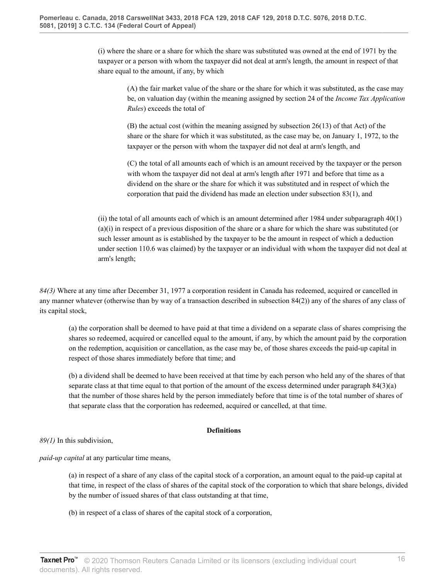(i) where the share or a share for which the share was substituted was owned at the end of 1971 by the taxpayer or a person with whom the taxpayer did not deal at arm's length, the amount in respect of that share equal to the amount, if any, by which

(A) the fair market value of the share or the share for which it was substituted, as the case may be, on valuation day (within the meaning assigned by section 24 of the *Income Tax Application Rules*) exceeds the total of

(B) the actual cost (within the meaning assigned by subsection 26(13) of that Act) of the share or the share for which it was substituted, as the case may be, on January 1, 1972, to the taxpayer or the person with whom the taxpayer did not deal at arm's length, and

(C) the total of all amounts each of which is an amount received by the taxpayer or the person with whom the taxpayer did not deal at arm's length after 1971 and before that time as a dividend on the share or the share for which it was substituted and in respect of which the corporation that paid the dividend has made an election under subsection 83(1), and

(ii) the total of all amounts each of which is an amount determined after 1984 under subparagraph 40(1) (a)(i) in respect of a previous disposition of the share or a share for which the share was substituted (or such lesser amount as is established by the taxpayer to be the amount in respect of which a deduction under section 110.6 was claimed) by the taxpayer or an individual with whom the taxpayer did not deal at arm's length;

*84(3)* Where at any time after December 31, 1977 a corporation resident in Canada has redeemed, acquired or cancelled in any manner whatever (otherwise than by way of a transaction described in subsection 84(2)) any of the shares of any class of its capital stock,

(a) the corporation shall be deemed to have paid at that time a dividend on a separate class of shares comprising the shares so redeemed, acquired or cancelled equal to the amount, if any, by which the amount paid by the corporation on the redemption, acquisition or cancellation, as the case may be, of those shares exceeds the paid-up capital in respect of those shares immediately before that time; and

(b) a dividend shall be deemed to have been received at that time by each person who held any of the shares of that separate class at that time equal to that portion of the amount of the excess determined under paragraph 84(3)(a) that the number of those shares held by the person immediately before that time is of the total number of shares of that separate class that the corporation has redeemed, acquired or cancelled, at that time.

# **Definitions**

*89(1)* In this subdivision,

*paid-up capital* at any particular time means,

(a) in respect of a share of any class of the capital stock of a corporation, an amount equal to the paid-up capital at that time, in respect of the class of shares of the capital stock of the corporation to which that share belongs, divided by the number of issued shares of that class outstanding at that time,

(b) in respect of a class of shares of the capital stock of a corporation,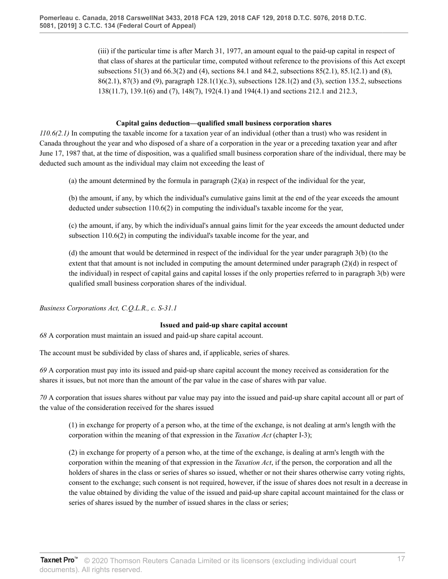(iii) if the particular time is after March 31, 1977, an amount equal to the paid-up capital in respect of that class of shares at the particular time, computed without reference to the provisions of this Act except subsections 51(3) and 66.3(2) and (4), sections 84.1 and 84.2, subsections 85(2.1), 85.1(2.1) and (8),  $86(2.1)$ ,  $87(3)$  and (9), paragraph  $128.1(1)(c.3)$ , subsections  $128.1(2)$  and (3), section 135.2, subsections 138(11.7), 139.1(6) and (7), 148(7), 192(4.1) and 194(4.1) and sections 212.1 and 212.3,

#### **Capital gains deduction—qualified small business corporation shares**

*110.6(2.1)* In computing the taxable income for a taxation year of an individual (other than a trust) who was resident in Canada throughout the year and who disposed of a share of a corporation in the year or a preceding taxation year and after June 17, 1987 that, at the time of disposition, was a qualified small business corporation share of the individual, there may be deducted such amount as the individual may claim not exceeding the least of

(a) the amount determined by the formula in paragraph (2)(a) in respect of the individual for the year,

(b) the amount, if any, by which the individual's cumulative gains limit at the end of the year exceeds the amount deducted under subsection 110.6(2) in computing the individual's taxable income for the year,

(c) the amount, if any, by which the individual's annual gains limit for the year exceeds the amount deducted under subsection 110.6(2) in computing the individual's taxable income for the year, and

(d) the amount that would be determined in respect of the individual for the year under paragraph 3(b) (to the extent that that amount is not included in computing the amount determined under paragraph (2)(d) in respect of the individual) in respect of capital gains and capital losses if the only properties referred to in paragraph 3(b) were qualified small business corporation shares of the individual.

*Business Corporations Act, C.Q.L.R., c. S-31.1*

# **Issued and paid-up share capital account**

*68* A corporation must maintain an issued and paid-up share capital account.

The account must be subdivided by class of shares and, if applicable, series of shares.

*69* A corporation must pay into its issued and paid-up share capital account the money received as consideration for the shares it issues, but not more than the amount of the par value in the case of shares with par value.

*70* A corporation that issues shares without par value may pay into the issued and paid-up share capital account all or part of the value of the consideration received for the shares issued

(1) in exchange for property of a person who, at the time of the exchange, is not dealing at arm's length with the corporation within the meaning of that expression in the *Taxation Act* (chapter I-3);

(2) in exchange for property of a person who, at the time of the exchange, is dealing at arm's length with the corporation within the meaning of that expression in the *Taxation Act*, if the person, the corporation and all the holders of shares in the class or series of shares so issued, whether or not their shares otherwise carry voting rights, consent to the exchange; such consent is not required, however, if the issue of shares does not result in a decrease in the value obtained by dividing the value of the issued and paid-up share capital account maintained for the class or series of shares issued by the number of issued shares in the class or series;